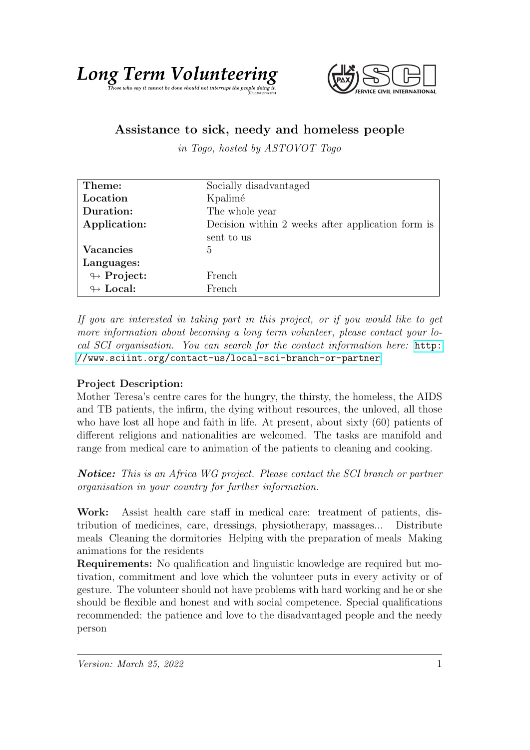



## Assistance to sick, needy and homeless people

in Togo, hosted by ASTOVOT Togo

| Theme:                     | Socially disadvantaged                            |
|----------------------------|---------------------------------------------------|
| Location                   | Kpalimé                                           |
| Duration:                  | The whole year                                    |
| Application:               | Decision within 2 weeks after application form is |
|                            | sent to us                                        |
| <b>Vacancies</b>           | 5                                                 |
| Languages:                 |                                                   |
| $\looparrowright$ Project: | French                                            |
| $\leftrightarrow$ Local:   | French                                            |

If you are interested in taking part in this project, or if you would like to get more information about becoming a long term volunteer, please contact your local SCI organisation. You can search for the contact information here: [http:](http://www.sciint.org/contact-us/local-sci-branch-or-partner) [//www.sciint.org/contact-us/local-sci-branch-or-partner](http://www.sciint.org/contact-us/local-sci-branch-or-partner)

## Project Description:

Mother Teresa's centre cares for the hungry, the thirsty, the homeless, the AIDS and TB patients, the infirm, the dying without resources, the unloved, all those who have lost all hope and faith in life. At present, about sixty (60) patients of different religions and nationalities are welcomed. The tasks are manifold and range from medical care to animation of the patients to cleaning and cooking.

Notice: This is an Africa WG project. Please contact the SCI branch or partner organisation in your country for further information.

Work: Assist health care staff in medical care: treatment of patients, distribution of medicines, care, dressings, physiotherapy, massages... Distribute meals Cleaning the dormitories Helping with the preparation of meals Making animations for the residents

Requirements: No qualification and linguistic knowledge are required but motivation, commitment and love which the volunteer puts in every activity or of gesture. The volunteer should not have problems with hard working and he or she should be flexible and honest and with social competence. Special qualifications recommended: the patience and love to the disadvantaged people and the needy person